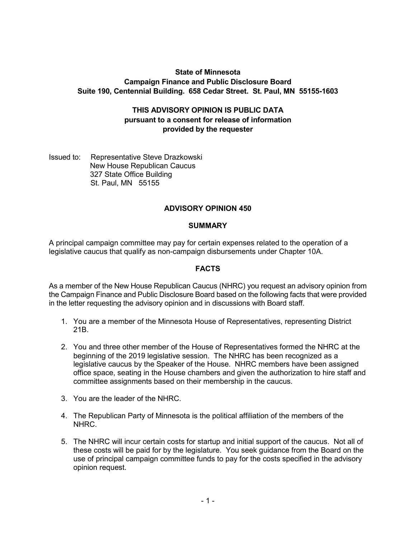# **State of Minnesota Campaign Finance and Public Disclosure Board Suite 190, Centennial Building. 658 Cedar Street. St. Paul, MN 55155-1603**

# **THIS ADVISORY OPINION IS PUBLIC DATA pursuant to a consent for release of information provided by the requester**

Issued to: Representative Steve Drazkowski New House Republican Caucus 327 State Office Building St. Paul, MN 55155

# **ADVISORY OPINION 450**

#### **SUMMARY**

A principal campaign committee may pay for certain expenses related to the operation of a legislative caucus that qualify as non-campaign disbursements under Chapter 10A.

#### **FACTS**

As a member of the New House Republican Caucus (NHRC) you request an advisory opinion from the Campaign Finance and Public Disclosure Board based on the following facts that were provided in the letter requesting the advisory opinion and in discussions with Board staff.

- 1. You are a member of the Minnesota House of Representatives, representing District 21B.
- 2. You and three other member of the House of Representatives formed the NHRC at the beginning of the 2019 legislative session. The NHRC has been recognized as a legislative caucus by the Speaker of the House. NHRC members have been assigned office space, seating in the House chambers and given the authorization to hire staff and committee assignments based on their membership in the caucus.
- 3. You are the leader of the NHRC.
- 4. The Republican Party of Minnesota is the political affiliation of the members of the NHRC.
- 5. The NHRC will incur certain costs for startup and initial support of the caucus. Not all of these costs will be paid for by the legislature. You seek guidance from the Board on the use of principal campaign committee funds to pay for the costs specified in the advisory opinion request.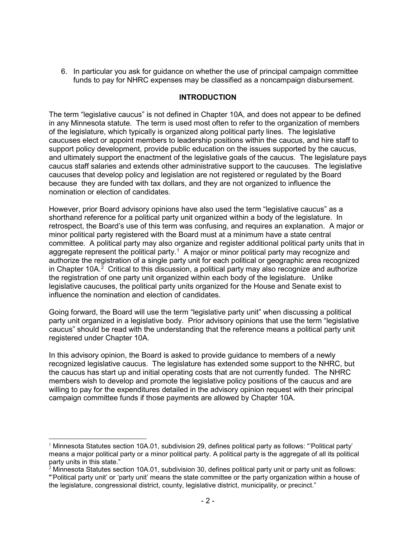6. In particular you ask for guidance on whether the use of principal campaign committee funds to pay for NHRC expenses may be classified as a noncampaign disbursement.

## **INTRODUCTION**

The term "legislative caucus" is not defined in Chapter 10A, and does not appear to be defined in any Minnesota statute. The term is used most often to refer to the organization of members of the legislature, which typically is organized along political party lines. The legislative caucuses elect or appoint members to leadership positions within the caucus, and hire staff to support policy development, provide public education on the issues supported by the caucus, and ultimately support the enactment of the legislative goals of the caucus. The legislature pays caucus staff salaries and extends other administrative support to the caucuses. The legislative caucuses that develop policy and legislation are not registered or regulated by the Board because they are funded with tax dollars, and they are not organized to influence the nomination or election of candidates.

However, prior Board advisory opinions have also used the term "legislative caucus" as a shorthand reference for a political party unit organized within a body of the legislature. In retrospect, the Board's use of this term was confusing, and requires an explanation. A major or minor political party registered with the Board must at a minimum have a state central committee. A political party may also organize and register additional political party units that in aggregate represent the political party.<sup>[1](#page-1-0)</sup> A major or minor political party may recognize and authorize the registration of a single party unit for each political or geographic area recognized in Chapter 10A.<sup>[2](#page-1-1)</sup> Critical to this discussion, a political party may also recognize and authorize the registration of one party unit organized within each body of the legislature. Unlike legislative caucuses, the political party units organized for the House and Senate exist to influence the nomination and election of candidates.

Going forward, the Board will use the term "legislative party unit" when discussing a political party unit organized in a legislative body. Prior advisory opinions that use the term "legislative caucus" should be read with the understanding that the reference means a political party unit registered under Chapter 10A.

In this advisory opinion, the Board is asked to provide guidance to members of a newly recognized legislative caucus. The legislature has extended some support to the NHRC, but the caucus has start up and initial operating costs that are not currently funded. The NHRC members wish to develop and promote the legislative policy positions of the caucus and are willing to pay for the expenditures detailed in the advisory opinion request with their principal campaign committee funds if those payments are allowed by Chapter 10A.

<span id="page-1-0"></span><sup>-</sup> $1$  Minnesota Statutes section 10A.01, subdivision 29, defines political party as follows: "Political party' means a major political party or a minor political party. A political party is the aggregate of all its political party units in this state."

<span id="page-1-1"></span> $2$  Minnesota Statutes section 10A.01, subdivision 30, defines political party unit or party unit as follows: "'Political party unit' or 'party unit' means the state committee or the party organization within a house of the legislature, congressional district, county, legislative district, municipality, or precinct."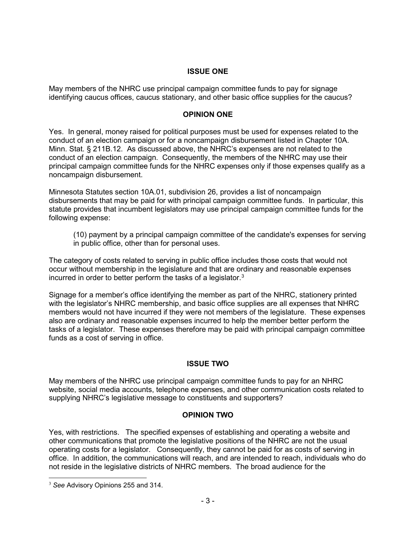## **ISSUE ONE**

May members of the NHRC use principal campaign committee funds to pay for signage identifying caucus offices, caucus stationary, and other basic office supplies for the caucus?

## **OPINION ONE**

Yes. In general, money raised for political purposes must be used for expenses related to the conduct of an election campaign or for a noncampaign disbursement listed in Chapter 10A. Minn. Stat. § 211B.12. As discussed above, the NHRC's expenses are not related to the conduct of an election campaign. Consequently, the members of the NHRC may use their principal campaign committee funds for the NHRC expenses only if those expenses qualify as a noncampaign disbursement.

Minnesota Statutes section 10A.01, subdivision 26, provides a list of noncampaign disbursements that may be paid for with principal campaign committee funds. In particular, this statute provides that incumbent legislators may use principal campaign committee funds for the following expense:

(10) payment by a principal campaign committee of the candidate's expenses for serving in public office, other than for personal uses.

The category of costs related to serving in public office includes those costs that would not occur without membership in the legislature and that are ordinary and reasonable expenses incurred in order to better perform the tasks of a legislator.<sup>[3](#page-2-0)</sup>

Signage for a member's office identifying the member as part of the NHRC, stationery printed with the legislator's NHRC membership, and basic office supplies are all expenses that NHRC members would not have incurred if they were not members of the legislature. These expenses also are ordinary and reasonable expenses incurred to help the member better perform the tasks of a legislator. These expenses therefore may be paid with principal campaign committee funds as a cost of serving in office.

# **ISSUE TWO**

May members of the NHRC use principal campaign committee funds to pay for an NHRC website, social media accounts, telephone expenses, and other communication costs related to supplying NHRC's legislative message to constituents and supporters?

#### **OPINION TWO**

Yes, with restrictions. The specified expenses of establishing and operating a website and other communications that promote the legislative positions of the NHRC are not the usual operating costs for a legislator. Consequently, they cannot be paid for as costs of serving in office. In addition, the communications will reach, and are intended to reach, individuals who do not reside in the legislative districts of NHRC members. The broad audience for the

<span id="page-2-0"></span> $\overline{a}$ <sup>3</sup> *See* Advisory Opinions 255 and 314.